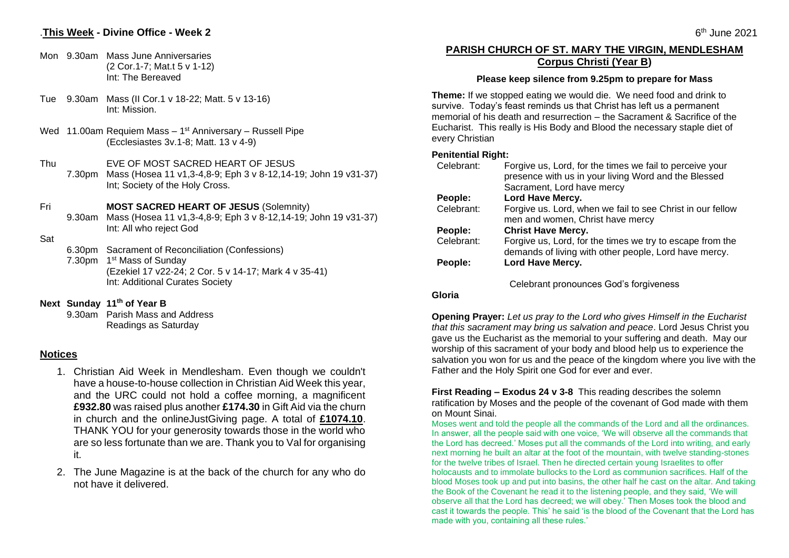# .**This Week - Divine Office - Week 2**

- Mon 9.30am Mass June Anniversaries (2 Cor.1-7; Mat.t 5 v 1-12) Int: The Bereaved
- Tue 9.30am Mass (II Cor.1 v 18-22; Matt. 5 v 13-16) Int: Mission.
- Wed 11.00am Requiem Mass 1<sup>st</sup> Anniversary Russell Pipe (Ecclesiastes 3v.1-8; Matt. 13 v 4-9)
- Thu 7.30pm Mass (Hosea 11 v1,3-4,8-9; Eph 3 v 8-12,14-19; John 19 v31-37) EVE OF MOST SACRED HEART OF JESUS Int; Society of the Holy Cross.

Fri **MOST SACRED HEART OF JESUS** (Solemnity)

9.30am Mass (Hosea 11 v1,3-4,8-9; Eph 3 v 8-12,14-19; John 19 v31-37) Int: All who reject God

#### Sat

6.30pm Sacrament of Reconciliation (Confessions) 7.30pm 1<sup>st</sup> Mass of Sunday (Ezekiel 17 v22-24; 2 Cor. 5 v 14-17; Mark 4 v 35-41) Int: Additional Curates Society

**Next Sunday 11 th of Year B**

9.30am Parish Mass and Address Readings as Saturday

### **Notices**

- 1. Christian Aid Week in Mendlesham. Even though we couldn't have a house-to-house collection in Christian Aid Week this year, and the URC could not hold a coffee morning, a magnificent **£932.80** was raised plus another **£174.30** in Gift Aid via the churn in church and the onlineJustGiving page. A total of **£1074.10**. THANK YOU for your generosity towards those in the world who are so less fortunate than we are. Thank you to Val for organising it.
- 2. The June Magazine is at the back of the church for any who do not have it delivered.

# **PARISH CHURCH OF ST. MARY THE VIRGIN, MENDLESHAM Corpus Christi (Year B)**

#### **Please keep silence from 9.25pm to prepare for Mass**

**Theme:** If we stopped eating we would die. We need food and drink to survive. Today's feast reminds us that Christ has left us a permanent memorial of his death and resurrection – the Sacrament & Sacrifice of the Eucharist. This really is His Body and Blood the necessary staple diet of every Christian

#### **Penitential Right:**

| Celebrant: | Forgive us, Lord, for the times we fail to perceive your<br>presence with us in your living Word and the Blessed |
|------------|------------------------------------------------------------------------------------------------------------------|
|            | Sacrament, Lord have mercy                                                                                       |
| People:    | Lord Have Mercy.                                                                                                 |
| Celebrant: | Forgive us. Lord, when we fail to see Christ in our fellow                                                       |
|            | men and women, Christ have mercy                                                                                 |
| People:    | <b>Christ Have Mercy.</b>                                                                                        |
| Celebrant: | Forgive us, Lord, for the times we try to escape from the                                                        |
|            | demands of living with other people, Lord have mercy.                                                            |
| People:    | Lord Have Mercy.                                                                                                 |
|            | Colobrant nuonalineen Coole faraillongen                                                                         |

Celebrant pronounces God's forgiveness

### **Gloria**

**Opening Prayer:** *Let us pray to the Lord who gives Himself in the Eucharist that this sacrament may bring us salvation and peace*. Lord Jesus Christ you gave us the Eucharist as the memorial to your suffering and death. May our worship of this sacrament of your body and blood help us to experience the salvation you won for us and the peace of the kingdom where you live with the Father and the Holy Spirit one God for ever and ever.

**First Reading – Exodus 24 v 3-8** This reading describes the solemn ratification by Moses and the people of the covenant of God made with them on Mount Sinai.

Moses went and told the people all the commands of the Lord and all the ordinances. In answer, all the people said with one voice, 'We will observe all the commands that the Lord has decreed.' Moses put all the commands of the Lord into writing, and early next morning he built an altar at the foot of the mountain, with twelve standing-stones for the twelve tribes of Israel. Then he directed certain young Israelites to offer holocausts and to immolate bullocks to the Lord as communion sacrifices. Half of the blood Moses took up and put into basins, the other half he cast on the altar. And taking the Book of the Covenant he read it to the listening people, and they said, 'We will observe all that the Lord has decreed; we will obey.' Then Moses took the blood and cast it towards the people. This' he said 'is the blood of the Covenant that the Lord has made with you, containing all these rules.'